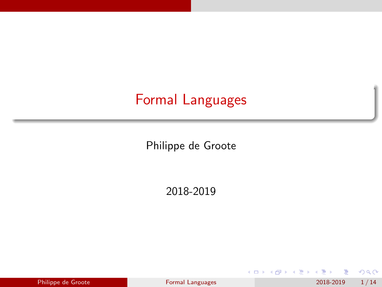# <span id="page-0-0"></span>Formal Languages

Philippe de Groote

2018-2019

| Philippe de Groote |  |
|--------------------|--|

**← ロ → → 何** 

э Pormal Languages 2018-2019 1/14

化重 网络重 **B**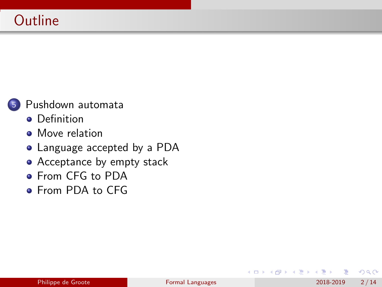

- **•** [Definition](#page-2-0)
- **•** [Move relation](#page-3-0)
- [Language accepted by a PDA](#page-8-0)
- [Acceptance by empty stack](#page-9-0)
- **[From CFG to PDA](#page-14-0)**
- **[From PDA to CFG](#page-16-0)**

 $\Omega$ 

 $\leftarrow$   $\equiv$ 

Э×

4 **D F**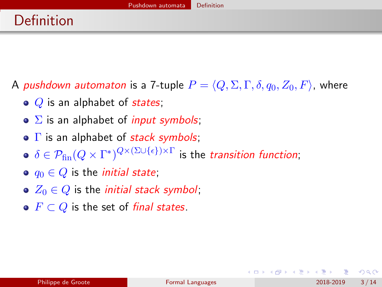<span id="page-2-0"></span>A pushdown automaton is a 7-tuple  $P = \langle Q, \Sigma, \Gamma, \delta, q_0, Z_0, F \rangle$ , where

- $\bullet$  Q is an alphabet of states;
- $\bullet$   $\Sigma$  is an alphabet of *input symbols*;
- $\bullet$   $\Gamma$  is an alphabet of *stack symbols*;
- $\delta \in \mathcal{P}_{\textrm{fin}}(Q\times\Gamma^*)^{Q\times(\Sigma\cup\{\epsilon\})\times\Gamma}$  is the *transition function*;
- $\bullet$   $q_0 \in Q$  is the *initial state*;
- $\bullet$   $Z_0 \in Q$  is the *initial stack symbol*;
- $F \subset Q$  is the set of final states.

 $200$ 

- 4 重 8 - 4 重 8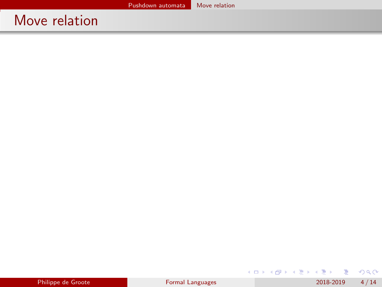<span id="page-3-0"></span>

| Philippe de Groote |  |
|--------------------|--|
|                    |  |

 $299$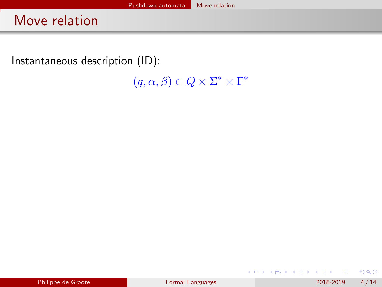Instantaneous description (ID):

 $(q, \alpha, \beta) \in Q \times \Sigma^* \times \Gamma^*$ 

|  | Philippe de Groote |
|--|--------------------|
|  |                    |

メロトメ 倒 トメ ミトメ ミト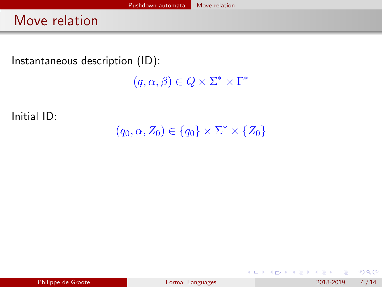Instantaneous description (ID):

 $(q, \alpha, \beta) \in Q \times \Sigma^* \times \Gamma^*$ 

Initial ID:

 $(q_0, \alpha, Z_0) \in \{q_0\} \times \Sigma^* \times \{Z_0\}$ 

 $QQ$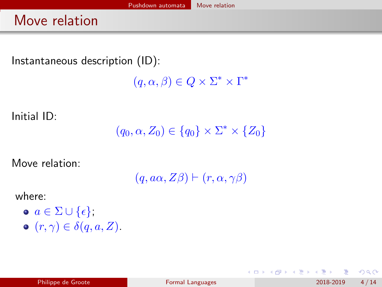Instantaneous description (ID):

 $(q, \alpha, \beta) \in Q \times \Sigma^* \times \Gamma^*$ 

Initial ID:

 $(q_0, \alpha, Z_0) \in \{q_0\} \times \Sigma^* \times \{Z_0\}$ 

Move relation:

 $(q, a\alpha, Z\beta) \vdash (r, \alpha, \gamma\beta)$ 

where:

 $\bullet \, a \in \Sigma \cup \{\epsilon\},\$  $\bullet$   $(r, \gamma) \in \delta(q, a, Z)$ .

 $QQQ$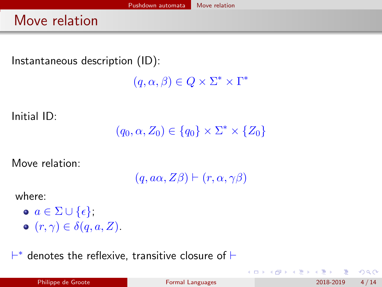Instantaneous description (ID):

 $(q, \alpha, \beta) \in Q \times \Sigma^* \times \Gamma^*$ 

Initial ID:

 $(q_0, \alpha, Z_0) \in \{q_0\} \times \Sigma^* \times \{Z_0\}$ 

Move relation:

 $(q, a\alpha, Z\beta) \vdash (r, \alpha, \gamma\beta)$ 

where:

 $\bullet \, a \in \Sigma \cup \{\epsilon\},\$  $\bullet$   $(r, \gamma) \in \delta(q, a, Z)$ .

 $\vdash^*$  denotes the reflexive, transitive closure of  $\vdash$ 

 $200$ 

メタメ メミメ メミメ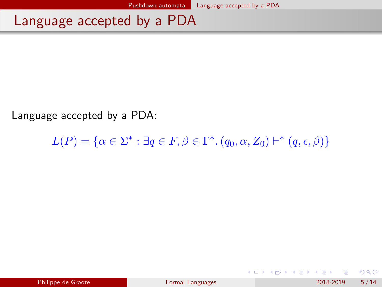#### <span id="page-8-0"></span>Language accepted by a PDA

Language accepted by a PDA:

 $L(P) = \{ \alpha \in \Sigma^* : \exists q \in F, \beta \in \Gamma^* . (q_0, \alpha, Z_0) \vdash^* (q, \epsilon, \beta) \}$ 

メロトメ 倒 トメ ミトメ ミト

 $QQ$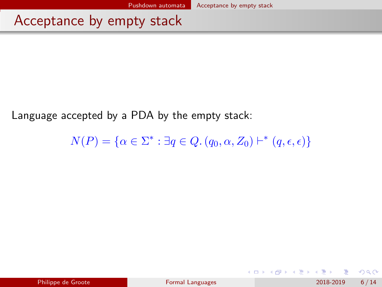<span id="page-9-0"></span>Language accepted by a PDA by the empty stack:

 $N(P) = \{ \alpha \in \Sigma^* : \exists q \in Q \ldotp (q_0, \alpha, Z_0) \vdash^* (q, \epsilon, \epsilon) \}$ 

イロト イ押ト イヨト イヨト

 $QQ$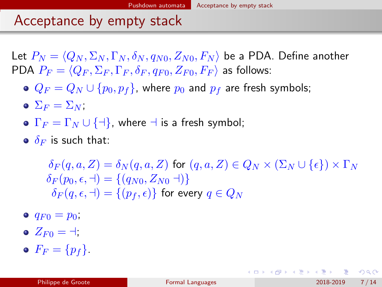Let  $P_N = \langle Q_N , \Sigma_N , \Gamma_N , \delta_N , q_{N0} , Z_{N0} , F_N \rangle$  be a PDA. Define another PDA  $P_F = \langle Q_F , \Sigma_F , \Gamma_F , \delta_F , q_{F0} , Z_{F0} , F_F \rangle$  as follows:

- $Q_F = Q_N \cup \{p_0, p_f\}$ , where  $p_0$  and  $p_f$  are fresh symbols;
- $\bullet \ \Sigma_F = \Sigma_N$ ;
- $\Gamma_F = \Gamma_N \cup \{\exists\}$ , where  $\exists$  is a fresh symbol;
- $\bullet$   $\delta$ <sub>F</sub> is such that:

 $\delta_F(q, a, Z) = \delta_N(q, a, Z)$  for  $(q, a, Z) \in Q_N \times (\Sigma_N \cup {\{\epsilon\}}) \times \Gamma_N$  $\delta_F(p_0, \epsilon, \dashv) = \{(q_{N0}, Z_{N0} \dashv)\}\$  $\delta_F(q, \epsilon, \dashv) = \{(p_f, \epsilon)\}\;$  for every  $q \in Q_N$ 

- $q_{F0} = p_0$ ;
- $Z_{F0} = \pm$
- $\bullet$   $F_F = \{p_f\}.$

 $QQ$ 

イロン イ部ン イヨン イヨン 一番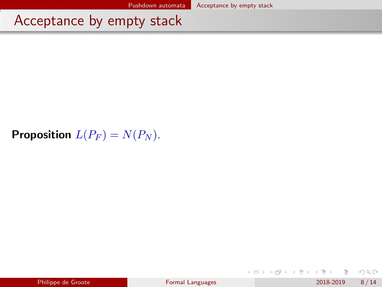#### **Proposition**  $L(P_F) = N(P_N)$ .

|  | Philippe de Groote |
|--|--------------------|
|  |                    |

**◆ ロ ▶ → 何** 

化重新润滑脂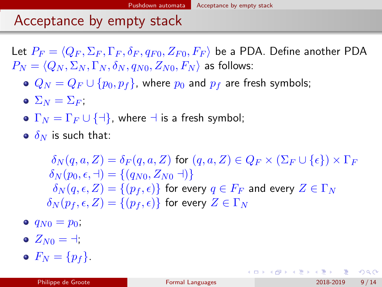Let  $P_F = \langle Q_F , \Sigma_F , \Gamma_F , \delta_F , q_{F0} , Z_{F0} , F_F \rangle$  be a PDA. Define another PDA  $P_N = \langle Q_N, \Sigma_N, \Gamma_N, \delta_N, q_{N0}, Z_{N0}, F_N \rangle$  as follows:

- $Q_N = Q_F \cup \{p_0, p_f\}$ , where  $p_0$  and  $p_f$  are fresh symbols;
- $\bullet \ \Sigma_N = \Sigma_F$ ;
- $\Gamma_N = \Gamma_F \cup \{\exists\}$ , where  $\exists$  is a fresh symbol;
- $\bullet$   $\delta_N$  is such that:

 $\delta_N(q,a,Z) = \delta_F(q,a,Z)$  for  $(q,a,Z) \in Q_F \times (\Sigma_F \cup {\{\epsilon\}}) \times \Gamma_F$  $\delta_N(p_0, \epsilon, \dashv) = \{(q_{N0}, Z_{N0} \dashv)\}\$  $\delta_N(q, \epsilon, Z) = \{(p_f, \epsilon)\}\;$  for every  $q \in F_F$  and every  $Z \in \Gamma_N$  $\delta_N(p_f, \epsilon, Z) = \{(p_f, \epsilon)\}\;$  for every  $Z \in \Gamma_N$ 

- $q_{N0} = p_0$ ;
- $\bullet$   $Z_{N0} = +$ :
- $\bullet$   $F_N = \{p_f\}.$

イロト イ母 トイミト イヨト ニヨー りんぴ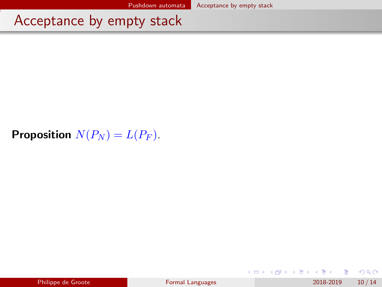#### **Proposition**  $N(P_N) = L(P_F)$ .

|  | Philippe de Groote |
|--|--------------------|
|  |                    |

4 日下

∢母

化重新润滑脂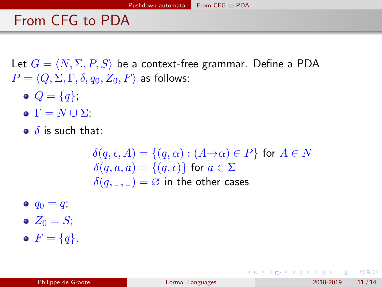#### <span id="page-14-0"></span>From CFG to PDA

Let  $G = \langle N, \Sigma, P, S \rangle$  be a context-free grammar. Define a PDA  $P = \langle Q, \Sigma, \Gamma, \delta, q_0, Z_0, F \rangle$  as follows:

- $Q = \{q\};$
- $\bullet \Gamma = N \cup \Sigma$ ;
- $\bullet$   $\delta$  is such that:

$$
\delta(q, \epsilon, A) = \{(q, \alpha) : (A \to \alpha) \in P\} \text{ for } A \in N
$$
  

$$
\delta(q, a, a) = \{(q, \epsilon)\} \text{ for } a \in \Sigma
$$
  

$$
\delta(q, \epsilon, \epsilon) = \emptyset \text{ in the other cases}
$$

- $q_0 = q$ ;
- $Z_0 = S$ ;
- $\bullet$   $F = \{q\}.$

K □ ▶ K @ ▶ K 로 ▶ K 로 ▶ \_ 로 \_ K 9 Q @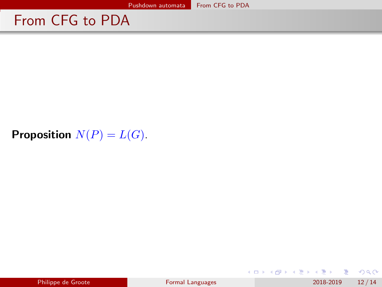### From CFG to PDA

#### **Proposition**  $N(P) = L(G)$ .

|  | Philippe de Groote |
|--|--------------------|
|  |                    |

 $2990$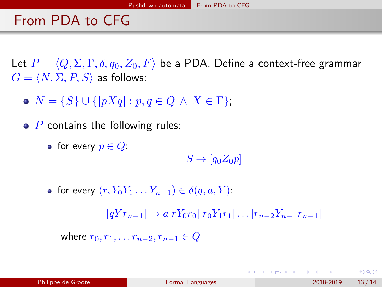### <span id="page-16-0"></span>From PDA to CFG

Let  $P = \langle Q, \Sigma, \Gamma, \delta, q_0, Z_0, F \rangle$  be a PDA. Define a context-free grammar  $G = \langle N, \Sigma, P, S \rangle$  as follows:

- $N = \{S\} \cup \{[pXq] : p, q \in Q \land X \in \Gamma\}.$
- $\bullet$  P contains the following rules:
	- for every  $p \in Q$ :

 $S \to [q_0 Z_0 p]$ 

• for every  $(r, Y_0Y_1 \ldots Y_{n-1}) \in \delta(a, a, Y)$ :  $[qYr_{n-1}] \rightarrow a[rY_0r_0][r_0Y_1r_1] \dots [r_{n-2}Y_{n-1}r_{n-1}]$ where  $r_0, r_1, \ldots r_{n-2}, r_{n-1} \in Q$ 

**KOD KAR KED KED E VAN**